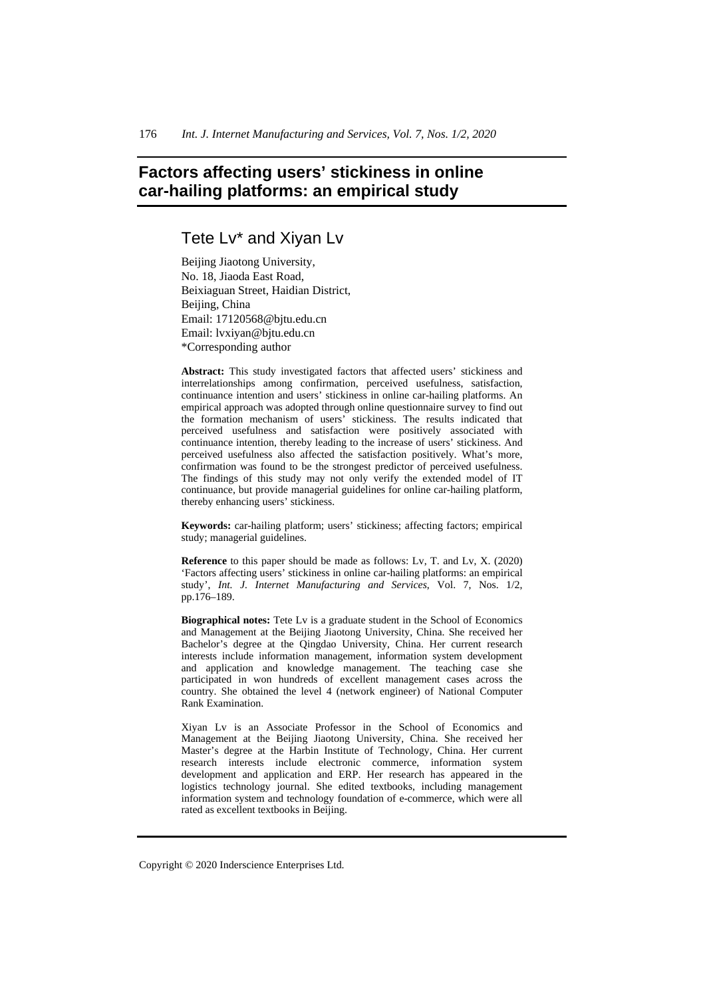# **Factors affecting users' stickiness in online car-hailing platforms: an empirical study**

## Tete Lv\* and Xiyan Lv

Beijing Jiaotong University, No. 18, Jiaoda East Road, Beixiaguan Street, Haidian District, Beijing, China Email: 17120568@bjtu.edu.cn Email: lvxiyan@bjtu.edu.cn \*Corresponding author

**Abstract:** This study investigated factors that affected users' stickiness and interrelationships among confirmation, perceived usefulness, satisfaction, continuance intention and users' stickiness in online car-hailing platforms. An empirical approach was adopted through online questionnaire survey to find out the formation mechanism of users' stickiness. The results indicated that perceived usefulness and satisfaction were positively associated with continuance intention, thereby leading to the increase of users' stickiness. And perceived usefulness also affected the satisfaction positively. What's more, confirmation was found to be the strongest predictor of perceived usefulness. The findings of this study may not only verify the extended model of IT continuance, but provide managerial guidelines for online car-hailing platform, thereby enhancing users' stickiness.

**Keywords:** car-hailing platform; users' stickiness; affecting factors; empirical study; managerial guidelines.

**Reference** to this paper should be made as follows: Lv, T. and Lv, X. (2020) 'Factors affecting users' stickiness in online car-hailing platforms: an empirical study', *Int. J. Internet Manufacturing and Services*, Vol. 7, Nos. 1/2, pp.176–189.

**Biographical notes:** Tete Lv is a graduate student in the School of Economics and Management at the Beijing Jiaotong University, China. She received her Bachelor's degree at the Qingdao University, China. Her current research interests include information management, information system development and application and knowledge management. The teaching case she participated in won hundreds of excellent management cases across the country. She obtained the level 4 (network engineer) of National Computer Rank Examination.

Xiyan Lv is an Associate Professor in the School of Economics and Management at the Beijing Jiaotong University, China. She received her Master's degree at the Harbin Institute of Technology, China. Her current research interests include electronic commerce, information system development and application and ERP. Her research has appeared in the logistics technology journal. She edited textbooks, including management information system and technology foundation of e-commerce, which were all rated as excellent textbooks in Beijing.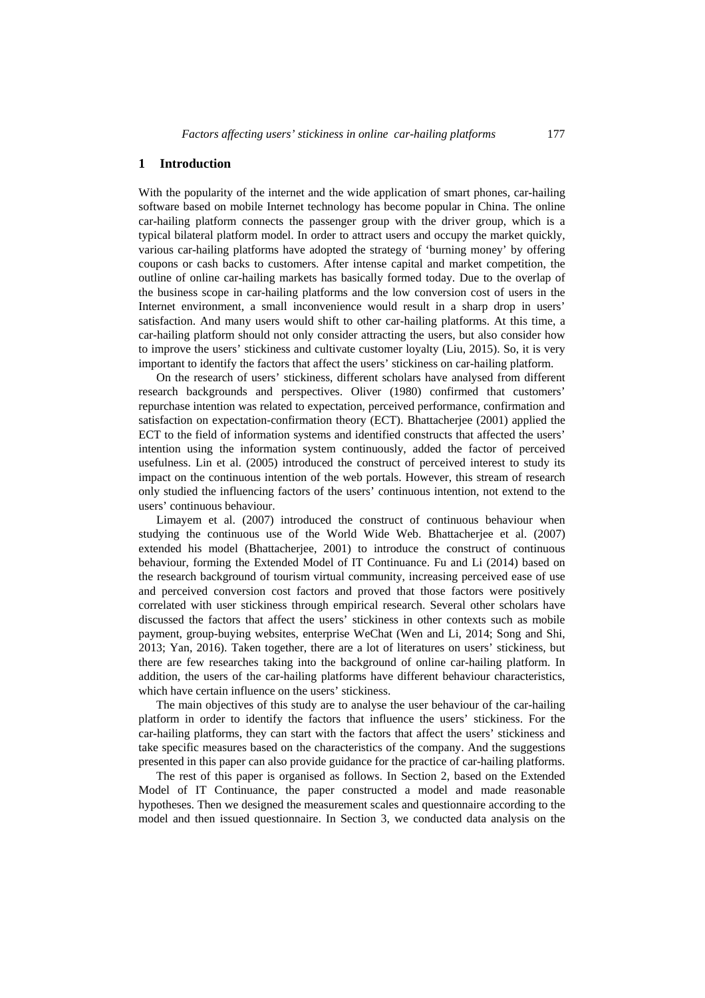## **1 Introduction**

With the popularity of the internet and the wide application of smart phones, car-hailing software based on mobile Internet technology has become popular in China. The online car-hailing platform connects the passenger group with the driver group, which is a typical bilateral platform model. In order to attract users and occupy the market quickly, various car-hailing platforms have adopted the strategy of 'burning money' by offering coupons or cash backs to customers. After intense capital and market competition, the outline of online car-hailing markets has basically formed today. Due to the overlap of the business scope in car-hailing platforms and the low conversion cost of users in the Internet environment, a small inconvenience would result in a sharp drop in users' satisfaction. And many users would shift to other car-hailing platforms. At this time, a car-hailing platform should not only consider attracting the users, but also consider how to improve the users' stickiness and cultivate customer loyalty (Liu, 2015). So, it is very important to identify the factors that affect the users' stickiness on car-hailing platform.

On the research of users' stickiness, different scholars have analysed from different research backgrounds and perspectives. Oliver (1980) confirmed that customers' repurchase intention was related to expectation, perceived performance, confirmation and satisfaction on expectation-confirmation theory (ECT). Bhattacherjee (2001) applied the ECT to the field of information systems and identified constructs that affected the users' intention using the information system continuously, added the factor of perceived usefulness. Lin et al. (2005) introduced the construct of perceived interest to study its impact on the continuous intention of the web portals. However, this stream of research only studied the influencing factors of the users' continuous intention, not extend to the users' continuous behaviour.

Limayem et al. (2007) introduced the construct of continuous behaviour when studying the continuous use of the World Wide Web. Bhattacherjee et al. (2007) extended his model (Bhattacherjee, 2001) to introduce the construct of continuous behaviour, forming the Extended Model of IT Continuance. Fu and Li (2014) based on the research background of tourism virtual community, increasing perceived ease of use and perceived conversion cost factors and proved that those factors were positively correlated with user stickiness through empirical research. Several other scholars have discussed the factors that affect the users' stickiness in other contexts such as mobile payment, group-buying websites, enterprise WeChat (Wen and Li, 2014; Song and Shi, 2013; Yan, 2016). Taken together, there are a lot of literatures on users' stickiness, but there are few researches taking into the background of online car-hailing platform. In addition, the users of the car-hailing platforms have different behaviour characteristics, which have certain influence on the users' stickiness.

The main objectives of this study are to analyse the user behaviour of the car-hailing platform in order to identify the factors that influence the users' stickiness. For the car-hailing platforms, they can start with the factors that affect the users' stickiness and take specific measures based on the characteristics of the company. And the suggestions presented in this paper can also provide guidance for the practice of car-hailing platforms.

The rest of this paper is organised as follows. In Section 2, based on the Extended Model of IT Continuance, the paper constructed a model and made reasonable hypotheses. Then we designed the measurement scales and questionnaire according to the model and then issued questionnaire. In Section 3, we conducted data analysis on the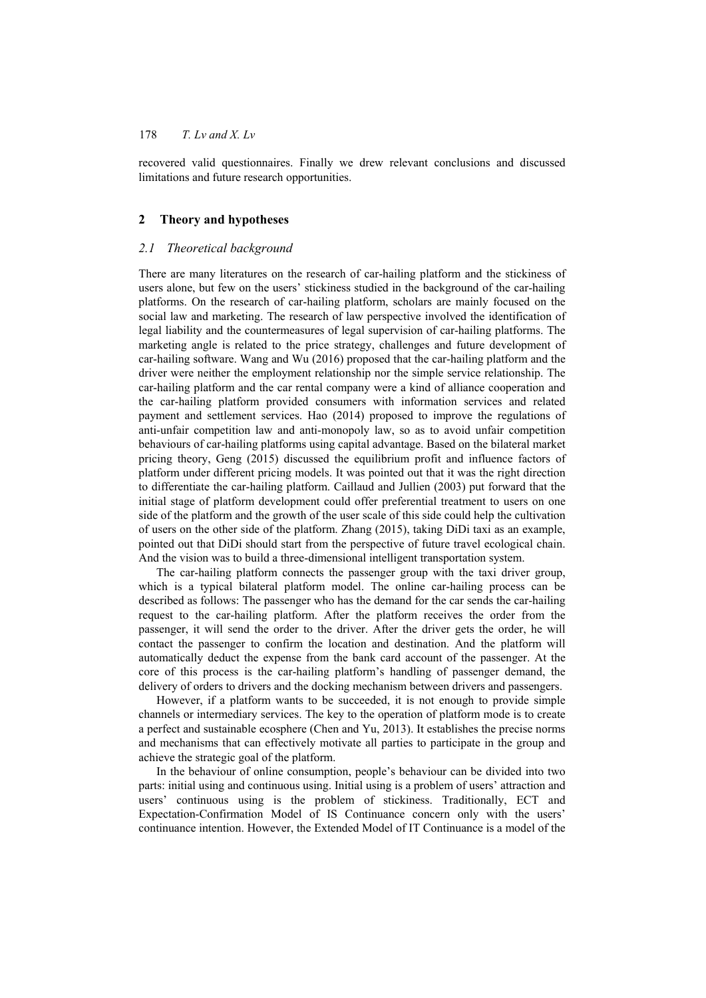recovered valid questionnaires. Finally we drew relevant conclusions and discussed limitations and future research opportunities.

## **2 Theory and hypotheses**

## *2.1 Theoretical background*

There are many literatures on the research of car-hailing platform and the stickiness of users alone, but few on the users' stickiness studied in the background of the car-hailing platforms. On the research of car-hailing platform, scholars are mainly focused on the social law and marketing. The research of law perspective involved the identification of legal liability and the countermeasures of legal supervision of car-hailing platforms. The marketing angle is related to the price strategy, challenges and future development of car-hailing software. Wang and Wu (2016) proposed that the car-hailing platform and the driver were neither the employment relationship nor the simple service relationship. The car-hailing platform and the car rental company were a kind of alliance cooperation and the car-hailing platform provided consumers with information services and related payment and settlement services. Hao (2014) proposed to improve the regulations of anti-unfair competition law and anti-monopoly law, so as to avoid unfair competition behaviours of car-hailing platforms using capital advantage. Based on the bilateral market pricing theory, Geng (2015) discussed the equilibrium profit and influence factors of platform under different pricing models. It was pointed out that it was the right direction to differentiate the car-hailing platform. Caillaud and Jullien (2003) put forward that the initial stage of platform development could offer preferential treatment to users on one side of the platform and the growth of the user scale of this side could help the cultivation of users on the other side of the platform. Zhang (2015), taking DiDi taxi as an example, pointed out that DiDi should start from the perspective of future travel ecological chain. And the vision was to build a three-dimensional intelligent transportation system.

The car-hailing platform connects the passenger group with the taxi driver group, which is a typical bilateral platform model. The online car-hailing process can be described as follows: The passenger who has the demand for the car sends the car-hailing request to the car-hailing platform. After the platform receives the order from the passenger, it will send the order to the driver. After the driver gets the order, he will contact the passenger to confirm the location and destination. And the platform will automatically deduct the expense from the bank card account of the passenger. At the core of this process is the car-hailing platform's handling of passenger demand, the delivery of orders to drivers and the docking mechanism between drivers and passengers.

However, if a platform wants to be succeeded, it is not enough to provide simple channels or intermediary services. The key to the operation of platform mode is to create a perfect and sustainable ecosphere (Chen and Yu, 2013). It establishes the precise norms and mechanisms that can effectively motivate all parties to participate in the group and achieve the strategic goal of the platform.

In the behaviour of online consumption, people's behaviour can be divided into two parts: initial using and continuous using. Initial using is a problem of users' attraction and users' continuous using is the problem of stickiness. Traditionally, ECT and Expectation-Confirmation Model of IS Continuance concern only with the users' continuance intention. However, the Extended Model of IT Continuance is a model of the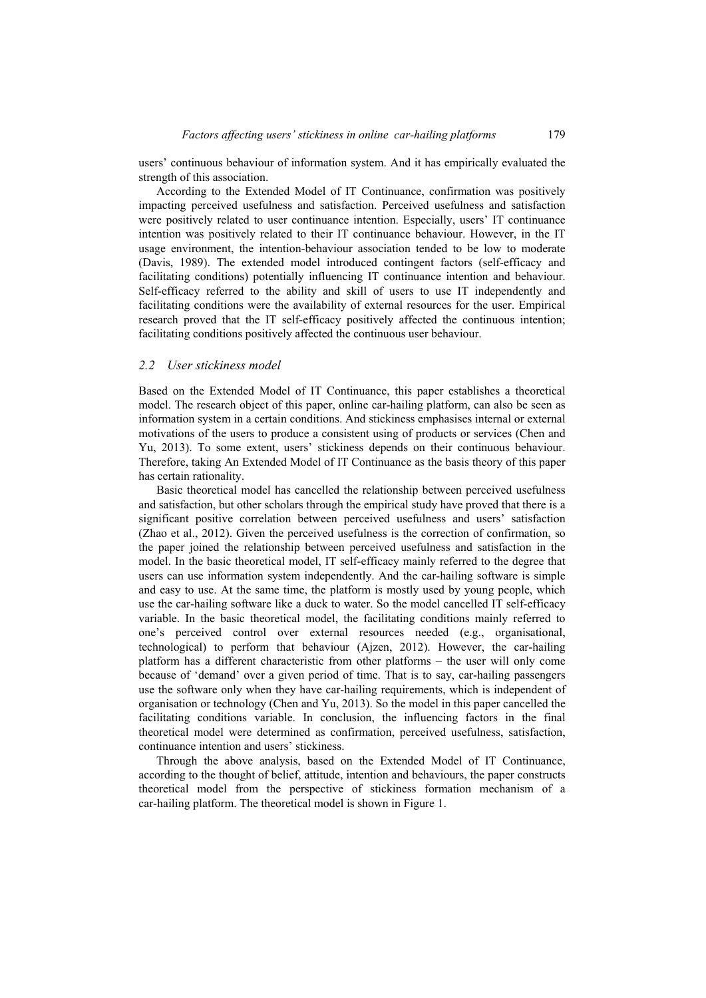users' continuous behaviour of information system. And it has empirically evaluated the strength of this association.

According to the Extended Model of IT Continuance, confirmation was positively impacting perceived usefulness and satisfaction. Perceived usefulness and satisfaction were positively related to user continuance intention. Especially, users' IT continuance intention was positively related to their IT continuance behaviour. However, in the IT usage environment, the intention-behaviour association tended to be low to moderate (Davis, 1989). The extended model introduced contingent factors (self-efficacy and facilitating conditions) potentially influencing IT continuance intention and behaviour. Self-efficacy referred to the ability and skill of users to use IT independently and facilitating conditions were the availability of external resources for the user. Empirical research proved that the IT self-efficacy positively affected the continuous intention; facilitating conditions positively affected the continuous user behaviour.

#### *2.2 User stickiness model*

Based on the Extended Model of IT Continuance, this paper establishes a theoretical model. The research object of this paper, online car-hailing platform, can also be seen as information system in a certain conditions. And stickiness emphasises internal or external motivations of the users to produce a consistent using of products or services (Chen and Yu, 2013). To some extent, users' stickiness depends on their continuous behaviour. Therefore, taking An Extended Model of IT Continuance as the basis theory of this paper has certain rationality.

Basic theoretical model has cancelled the relationship between perceived usefulness and satisfaction, but other scholars through the empirical study have proved that there is a significant positive correlation between perceived usefulness and users' satisfaction (Zhao et al., 2012). Given the perceived usefulness is the correction of confirmation, so the paper joined the relationship between perceived usefulness and satisfaction in the model. In the basic theoretical model, IT self-efficacy mainly referred to the degree that users can use information system independently. And the car-hailing software is simple and easy to use. At the same time, the platform is mostly used by young people, which use the car-hailing software like a duck to water. So the model cancelled IT self-efficacy variable. In the basic theoretical model, the facilitating conditions mainly referred to one's perceived control over external resources needed (e.g., organisational, technological) to perform that behaviour (Ajzen, 2012). However, the car-hailing platform has a different characteristic from other platforms – the user will only come because of 'demand' over a given period of time. That is to say, car-hailing passengers use the software only when they have car-hailing requirements, which is independent of organisation or technology (Chen and Yu, 2013). So the model in this paper cancelled the facilitating conditions variable. In conclusion, the influencing factors in the final theoretical model were determined as confirmation, perceived usefulness, satisfaction, continuance intention and users' stickiness.

Through the above analysis, based on the Extended Model of IT Continuance, according to the thought of belief, attitude, intention and behaviours, the paper constructs theoretical model from the perspective of stickiness formation mechanism of a car-hailing platform. The theoretical model is shown in Figure 1.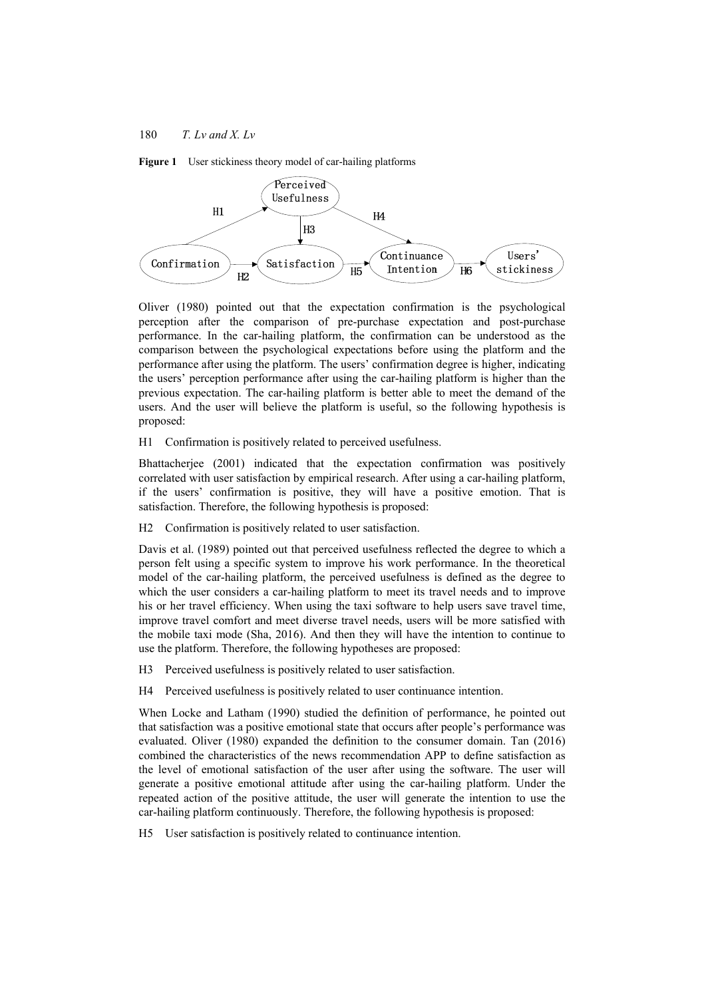



Oliver (1980) pointed out that the expectation confirmation is the psychological perception after the comparison of pre-purchase expectation and post-purchase performance. In the car-hailing platform, the confirmation can be understood as the comparison between the psychological expectations before using the platform and the performance after using the platform. The users' confirmation degree is higher, indicating the users' perception performance after using the car-hailing platform is higher than the previous expectation. The car-hailing platform is better able to meet the demand of the users. And the user will believe the platform is useful, so the following hypothesis is proposed:

H1 Confirmation is positively related to perceived usefulness.

Bhattacherjee (2001) indicated that the expectation confirmation was positively correlated with user satisfaction by empirical research. After using a car-hailing platform, if the users' confirmation is positive, they will have a positive emotion. That is satisfaction. Therefore, the following hypothesis is proposed:

H2 Confirmation is positively related to user satisfaction.

Davis et al. (1989) pointed out that perceived usefulness reflected the degree to which a person felt using a specific system to improve his work performance. In the theoretical model of the car-hailing platform, the perceived usefulness is defined as the degree to which the user considers a car-hailing platform to meet its travel needs and to improve his or her travel efficiency. When using the taxi software to help users save travel time, improve travel comfort and meet diverse travel needs, users will be more satisfied with the mobile taxi mode (Sha, 2016). And then they will have the intention to continue to use the platform. Therefore, the following hypotheses are proposed:

H3 Perceived usefulness is positively related to user satisfaction.

H4 Perceived usefulness is positively related to user continuance intention.

When Locke and Latham (1990) studied the definition of performance, he pointed out that satisfaction was a positive emotional state that occurs after people's performance was evaluated. Oliver (1980) expanded the definition to the consumer domain. Tan (2016) combined the characteristics of the news recommendation APP to define satisfaction as the level of emotional satisfaction of the user after using the software. The user will generate a positive emotional attitude after using the car-hailing platform. Under the repeated action of the positive attitude, the user will generate the intention to use the car-hailing platform continuously. Therefore, the following hypothesis is proposed:

H5 User satisfaction is positively related to continuance intention.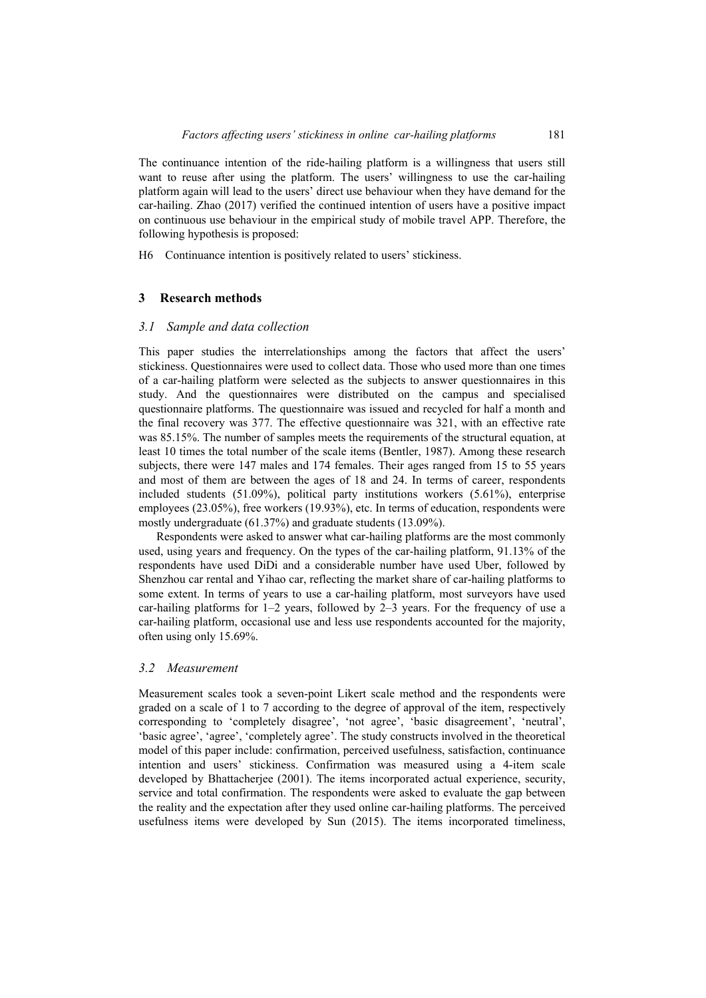The continuance intention of the ride-hailing platform is a willingness that users still want to reuse after using the platform. The users' willingness to use the car-hailing platform again will lead to the users' direct use behaviour when they have demand for the car-hailing. Zhao (2017) verified the continued intention of users have a positive impact on continuous use behaviour in the empirical study of mobile travel APP. Therefore, the following hypothesis is proposed:

H6 Continuance intention is positively related to users' stickiness.

## **3 Research methods**

#### *3.1 Sample and data collection*

This paper studies the interrelationships among the factors that affect the users' stickiness. Questionnaires were used to collect data. Those who used more than one times of a car-hailing platform were selected as the subjects to answer questionnaires in this study. And the questionnaires were distributed on the campus and specialised questionnaire platforms. The questionnaire was issued and recycled for half a month and the final recovery was 377. The effective questionnaire was 321, with an effective rate was 85.15%. The number of samples meets the requirements of the structural equation, at least 10 times the total number of the scale items (Bentler, 1987). Among these research subjects, there were 147 males and 174 females. Their ages ranged from 15 to 55 years and most of them are between the ages of 18 and 24. In terms of career, respondents included students (51.09%), political party institutions workers (5.61%), enterprise employees (23.05%), free workers (19.93%), etc. In terms of education, respondents were mostly undergraduate (61.37%) and graduate students (13.09%).

Respondents were asked to answer what car-hailing platforms are the most commonly used, using years and frequency. On the types of the car-hailing platform, 91.13% of the respondents have used DiDi and a considerable number have used Uber, followed by Shenzhou car rental and Yihao car, reflecting the market share of car-hailing platforms to some extent. In terms of years to use a car-hailing platform, most surveyors have used car-hailing platforms for  $1-2$  years, followed by  $2-3$  years. For the frequency of use a car-hailing platform, occasional use and less use respondents accounted for the majority, often using only 15.69%.

## *3.2 Measurement*

Measurement scales took a seven-point Likert scale method and the respondents were graded on a scale of 1 to 7 according to the degree of approval of the item, respectively corresponding to 'completely disagree', 'not agree', 'basic disagreement', 'neutral', 'basic agree', 'agree', 'completely agree'. The study constructs involved in the theoretical model of this paper include: confirmation, perceived usefulness, satisfaction, continuance intention and users' stickiness. Confirmation was measured using a 4-item scale developed by Bhattacherjee (2001). The items incorporated actual experience, security, service and total confirmation. The respondents were asked to evaluate the gap between the reality and the expectation after they used online car-hailing platforms. The perceived usefulness items were developed by Sun (2015). The items incorporated timeliness,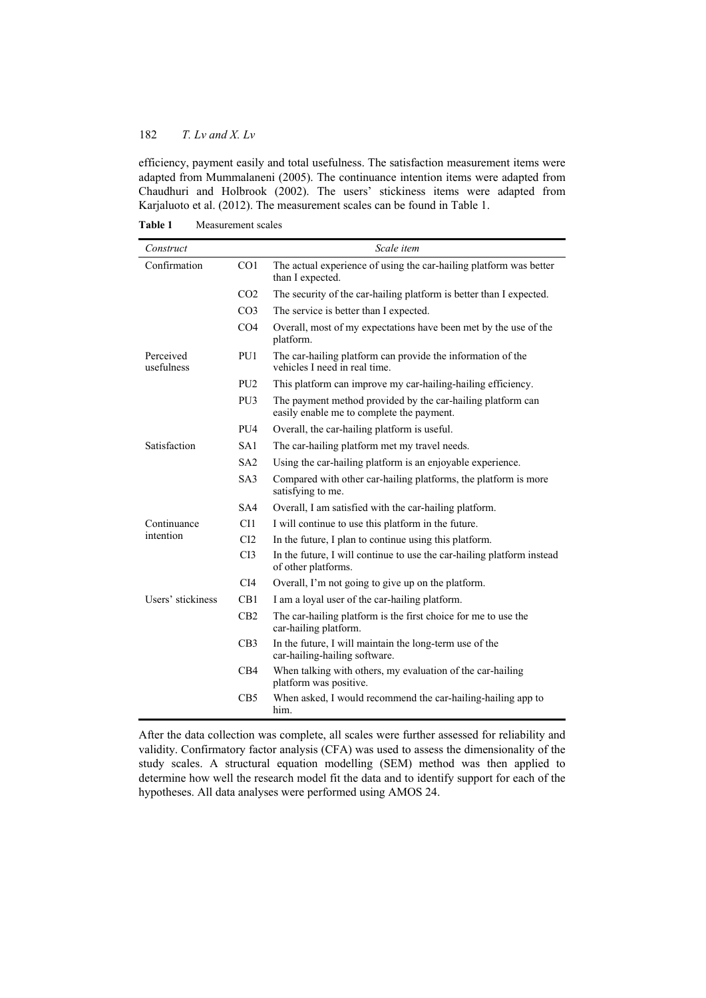efficiency, payment easily and total usefulness. The satisfaction measurement items were adapted from Mummalaneni (2005). The continuance intention items were adapted from Chaudhuri and Holbrook (2002). The users' stickiness items were adapted from Karjaluoto et al. (2012). The measurement scales can be found in Table 1.

| Construct               |                 | Scale item                                                                                               |  |  |
|-------------------------|-----------------|----------------------------------------------------------------------------------------------------------|--|--|
| Confirmation            | CO <sub>1</sub> | The actual experience of using the car-hailing platform was better<br>than I expected.                   |  |  |
|                         | CO <sub>2</sub> | The security of the car-hailing platform is better than I expected.                                      |  |  |
|                         | CO <sub>3</sub> | The service is better than I expected.                                                                   |  |  |
|                         | CO <sub>4</sub> | Overall, most of my expectations have been met by the use of the<br>platform.                            |  |  |
| Perceived<br>usefulness | PU1             | The car-hailing platform can provide the information of the<br>vehicles I need in real time.             |  |  |
|                         | PU <sub>2</sub> | This platform can improve my car-hailing-hailing efficiency.                                             |  |  |
|                         | PU <sub>3</sub> | The payment method provided by the car-hailing platform can<br>easily enable me to complete the payment. |  |  |
|                         | PU <sub>4</sub> | Overall, the car-hailing platform is useful.                                                             |  |  |
| Satisfaction            | SA1             | The car-hailing platform met my travel needs.                                                            |  |  |
|                         | SA2             | Using the car-hailing platform is an enjoyable experience.                                               |  |  |
|                         | SA3             | Compared with other car-hailing platforms, the platform is more<br>satisfying to me.                     |  |  |
|                         | SA4             | Overall, I am satisfied with the car-hailing platform.                                                   |  |  |
| Continuance             | CI1             | I will continue to use this platform in the future.                                                      |  |  |
| intention               | CI2             | In the future, I plan to continue using this platform.                                                   |  |  |
|                         | CI3             | In the future, I will continue to use the car-hailing platform instead<br>of other platforms.            |  |  |
|                         | CI4             | Overall, I'm not going to give up on the platform.                                                       |  |  |
| Users' stickiness       | CB1             | I am a loyal user of the car-hailing platform.                                                           |  |  |
|                         | CB2             | The car-hailing platform is the first choice for me to use the<br>car-hailing platform.                  |  |  |
|                         | CB3             | In the future, I will maintain the long-term use of the<br>car-hailing-hailing software.                 |  |  |
|                         | CB4             | When talking with others, my evaluation of the car-hailing<br>platform was positive.                     |  |  |
|                         | CB <sub>5</sub> | When asked, I would recommend the car-hailing-hailing app to<br>him.                                     |  |  |

**Table 1** Measurement scales

After the data collection was complete, all scales were further assessed for reliability and validity. Confirmatory factor analysis (CFA) was used to assess the dimensionality of the study scales. A structural equation modelling (SEM) method was then applied to determine how well the research model fit the data and to identify support for each of the hypotheses. All data analyses were performed using AMOS 24.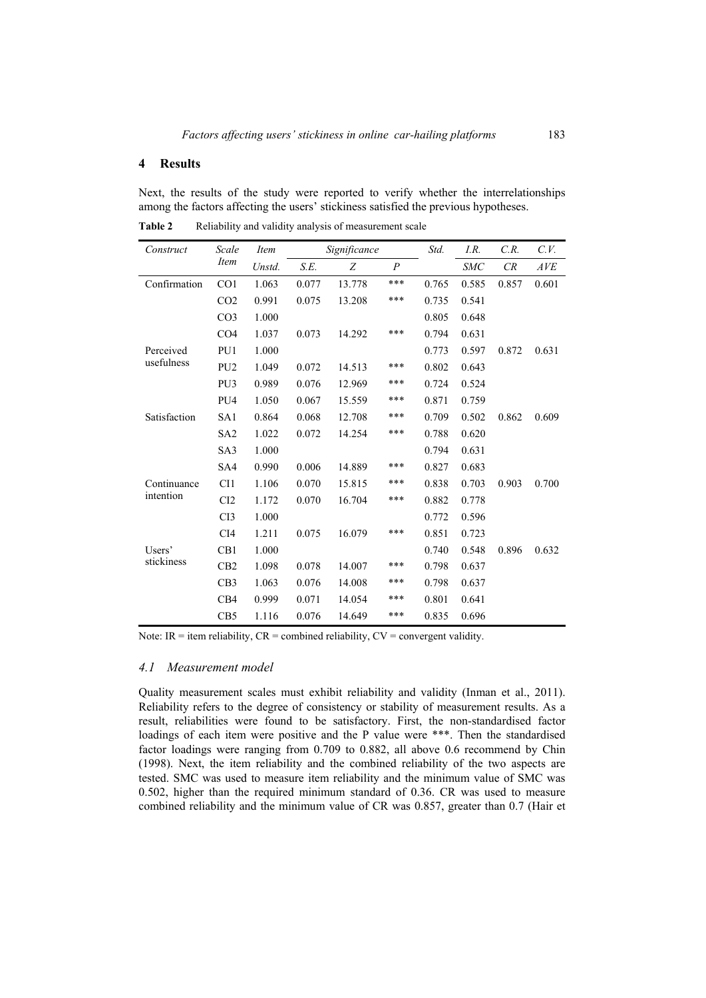## **4 Results**

Next, the results of the study were reported to verify whether the interrelationships among the factors affecting the users' stickiness satisfied the previous hypotheses.

| Construct               | Scale<br><i>Item</i> |        | Significance |        |                | Std.  | I.R.       | C.R.  | C.V.  |
|-------------------------|----------------------|--------|--------------|--------|----------------|-------|------------|-------|-------|
|                         | <i>Item</i>          | Unstd. | S.E.         | Z      | $\overline{P}$ |       | <b>SMC</b> | CR    | AVE   |
| Confirmation            | CO <sub>1</sub>      | 1.063  | 0.077        | 13.778 | ***            | 0.765 | 0.585      | 0.857 | 0.601 |
|                         | CO <sub>2</sub>      | 0.991  | 0.075        | 13.208 | ***            | 0.735 | 0.541      |       |       |
|                         | CO <sub>3</sub>      | 1.000  |              |        |                | 0.805 | 0.648      |       |       |
|                         | CO <sub>4</sub>      | 1.037  | 0.073        | 14.292 | ***            | 0.794 | 0.631      |       |       |
| Perceived<br>usefulness | PU1                  | 1.000  |              |        |                | 0.773 | 0.597      | 0.872 | 0.631 |
|                         | PU <sub>2</sub>      | 1.049  | 0.072        | 14.513 | ***            | 0.802 | 0.643      |       |       |
|                         | PU <sub>3</sub>      | 0.989  | 0.076        | 12.969 | ***            | 0.724 | 0.524      |       |       |
|                         | PU <sub>4</sub>      | 1.050  | 0.067        | 15.559 | ***            | 0.871 | 0.759      |       |       |
| Satisfaction            | SA1                  | 0.864  | 0.068        | 12.708 | ***            | 0.709 | 0.502      | 0.862 | 0.609 |
|                         | SA <sub>2</sub>      | 1.022  | 0.072        | 14.254 | ***            | 0.788 | 0.620      |       |       |
|                         | SA <sub>3</sub>      | 1.000  |              |        |                | 0.794 | 0.631      |       |       |
|                         | SA4                  | 0.990  | 0.006        | 14.889 | ***            | 0.827 | 0.683      |       |       |
| Continuance             | CI1                  | 1.106  | 0.070        | 15.815 | ***            | 0.838 | 0.703      | 0.903 | 0.700 |
| intention               | CI2                  | 1.172  | 0.070        | 16.704 | ***            | 0.882 | 0.778      |       |       |
|                         | CI3                  | 1.000  |              |        |                | 0.772 | 0.596      |       |       |
|                         | CI <sub>4</sub>      | 1.211  | 0.075        | 16.079 | ***            | 0.851 | 0.723      |       |       |
| Users'<br>stickiness    | CB1                  | 1.000  |              |        |                | 0.740 | 0.548      | 0.896 | 0.632 |
|                         | CB2                  | 1.098  | 0.078        | 14.007 | ***            | 0.798 | 0.637      |       |       |
|                         | CB3                  | 1.063  | 0.076        | 14.008 | ***            | 0.798 | 0.637      |       |       |
|                         | CB4                  | 0.999  | 0.071        | 14.054 | ***            | 0.801 | 0.641      |       |       |
|                         | CB5                  | 1.116  | 0.076        | 14.649 | ***            | 0.835 | 0.696      |       |       |

Table 2 Reliability and validity analysis of measurement scale

Note: IR = item reliability,  $CR =$  combined reliability,  $CV =$  convergent validity.

## *4.1 Measurement model*

Quality measurement scales must exhibit reliability and validity (Inman et al., 2011). Reliability refers to the degree of consistency or stability of measurement results. As a result, reliabilities were found to be satisfactory. First, the non-standardised factor loadings of each item were positive and the P value were \*\*\*. Then the standardised factor loadings were ranging from 0.709 to 0.882, all above 0.6 recommend by Chin (1998). Next, the item reliability and the combined reliability of the two aspects are tested. SMC was used to measure item reliability and the minimum value of SMC was 0.502, higher than the required minimum standard of 0.36. CR was used to measure combined reliability and the minimum value of CR was 0.857, greater than 0.7 (Hair et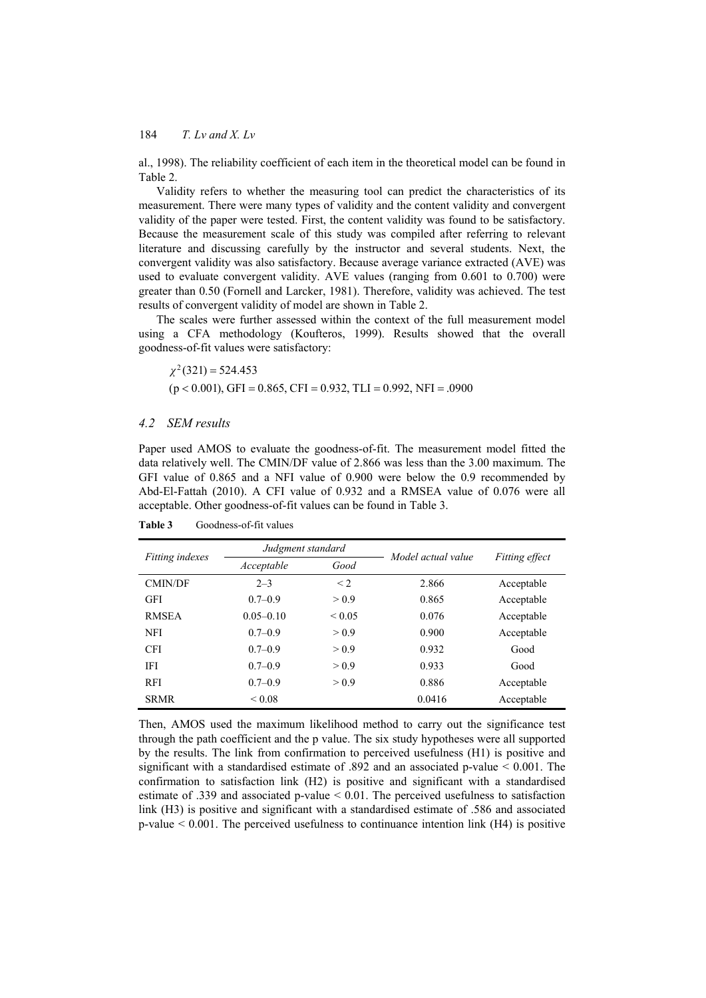al., 1998). The reliability coefficient of each item in the theoretical model can be found in Table 2.

Validity refers to whether the measuring tool can predict the characteristics of its measurement. There were many types of validity and the content validity and convergent validity of the paper were tested. First, the content validity was found to be satisfactory. Because the measurement scale of this study was compiled after referring to relevant literature and discussing carefully by the instructor and several students. Next, the convergent validity was also satisfactory. Because average variance extracted (AVE) was used to evaluate convergent validity. AVE values (ranging from 0.601 to 0.700) were greater than 0.50 (Fornell and Larcker, 1981). Therefore, validity was achieved. The test results of convergent validity of model are shown in Table 2.

The scales were further assessed within the context of the full measurement model using a CFA methodology (Koufteros, 1999). Results showed that the overall goodness-of-fit values were satisfactory:

 $\chi^2(321) = 524.453$  $(p < 0.001)$ , GFI = 0.865, CFI = 0.932, TLI = 0.992, NFI = .0900

## *4.2 SEM results*

Paper used AMOS to evaluate the goodness-of-fit. The measurement model fitted the data relatively well. The CMIN/DF value of 2.866 was less than the 3.00 maximum. The GFI value of 0.865 and a NFI value of 0.900 were below the 0.9 recommended by Abd-El-Fattah (2010). A CFI value of 0.932 and a RMSEA value of 0.076 were all acceptable. Other goodness-of-fit values can be found in Table 3.

| <i>Fitting indexes</i> | Judgment standard  |             |                    |                |  |
|------------------------|--------------------|-------------|--------------------|----------------|--|
|                        | Acceptable<br>Good |             | Model actual value | Fitting effect |  |
| <b>CMIN/DF</b>         | $2 - 3$            | $\leq$ 2    | 2.866              | Acceptable     |  |
| <b>GFI</b>             | $0.7 - 0.9$        | > 0.9       | 0.865              | Acceptable     |  |
| <b>RMSEA</b>           | $0.05 - 0.10$      | ${}_{0.05}$ | 0.076              | Acceptable     |  |
| NFI                    | $0.7-0.9$          | > 0.9       | 0.900              | Acceptable     |  |
| <b>CFI</b>             | $0.7-0.9$          | > 0.9       | 0.932              | Good           |  |
| <b>IFI</b>             | $0.7-0.9$          | > 0.9       | 0.933              | Good           |  |
| <b>RFI</b>             | $0.7-0.9$          | > 0.9       | 0.886              | Acceptable     |  |
| <b>SRMR</b>            | < 0.08             |             | 0.0416             | Acceptable     |  |

Table 3 Goodness-of-fit values

Then, AMOS used the maximum likelihood method to carry out the significance test through the path coefficient and the p value. The six study hypotheses were all supported by the results. The link from confirmation to perceived usefulness (H1) is positive and significant with a standardised estimate of .892 and an associated p-value < 0.001. The confirmation to satisfaction link (H2) is positive and significant with a standardised estimate of .339 and associated p-value < 0.01. The perceived usefulness to satisfaction link (H3) is positive and significant with a standardised estimate of .586 and associated p-value < 0.001. The perceived usefulness to continuance intention link (H4) is positive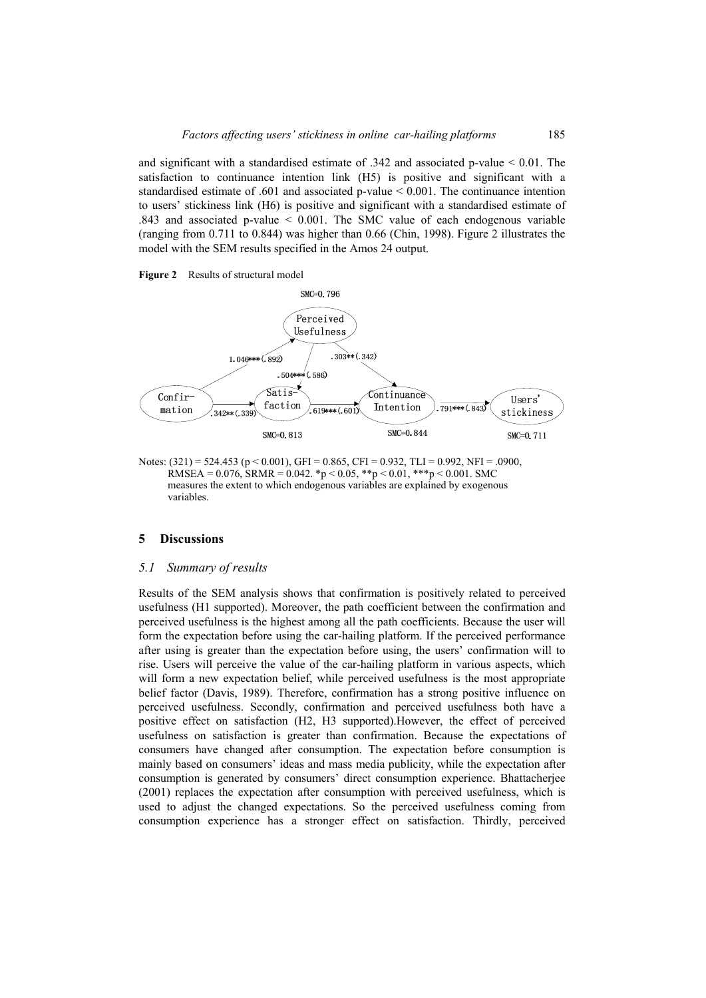and significant with a standardised estimate of  $.342$  and associated p-value  $< 0.01$ . The satisfaction to continuance intention link (H5) is positive and significant with a standardised estimate of .601 and associated p-value < 0.001. The continuance intention to users' stickiness link (H6) is positive and significant with a standardised estimate of .843 and associated p-value < 0.001. The SMC value of each endogenous variable (ranging from 0.711 to 0.844) was higher than 0.66 (Chin, 1998). Figure 2 illustrates the model with the SEM results specified in the Amos 24 output.

**Figure 2** Results of structural model



Notes:  $(321) = 524.453$  (p < 0.001), GFI = 0.865, CFI = 0.932, TLI = 0.992, NFI = .0900, RMSEA =  $0.076$ , SRMR =  $0.042$ . \*p <  $0.05$ , \*\*p <  $0.01$ , \*\*\*p <  $0.001$ . SMC measures the extent to which endogenous variables are explained by exogenous variables.

### **5 Discussions**

### *5.1 Summary of results*

Results of the SEM analysis shows that confirmation is positively related to perceived usefulness (H1 supported). Moreover, the path coefficient between the confirmation and perceived usefulness is the highest among all the path coefficients. Because the user will form the expectation before using the car-hailing platform. If the perceived performance after using is greater than the expectation before using, the users' confirmation will to rise. Users will perceive the value of the car-hailing platform in various aspects, which will form a new expectation belief, while perceived usefulness is the most appropriate belief factor (Davis, 1989). Therefore, confirmation has a strong positive influence on perceived usefulness. Secondly, confirmation and perceived usefulness both have a positive effect on satisfaction (H2, H3 supported).However, the effect of perceived usefulness on satisfaction is greater than confirmation. Because the expectations of consumers have changed after consumption. The expectation before consumption is mainly based on consumers' ideas and mass media publicity, while the expectation after consumption is generated by consumers' direct consumption experience. Bhattacherjee (2001) replaces the expectation after consumption with perceived usefulness, which is used to adjust the changed expectations. So the perceived usefulness coming from consumption experience has a stronger effect on satisfaction. Thirdly, perceived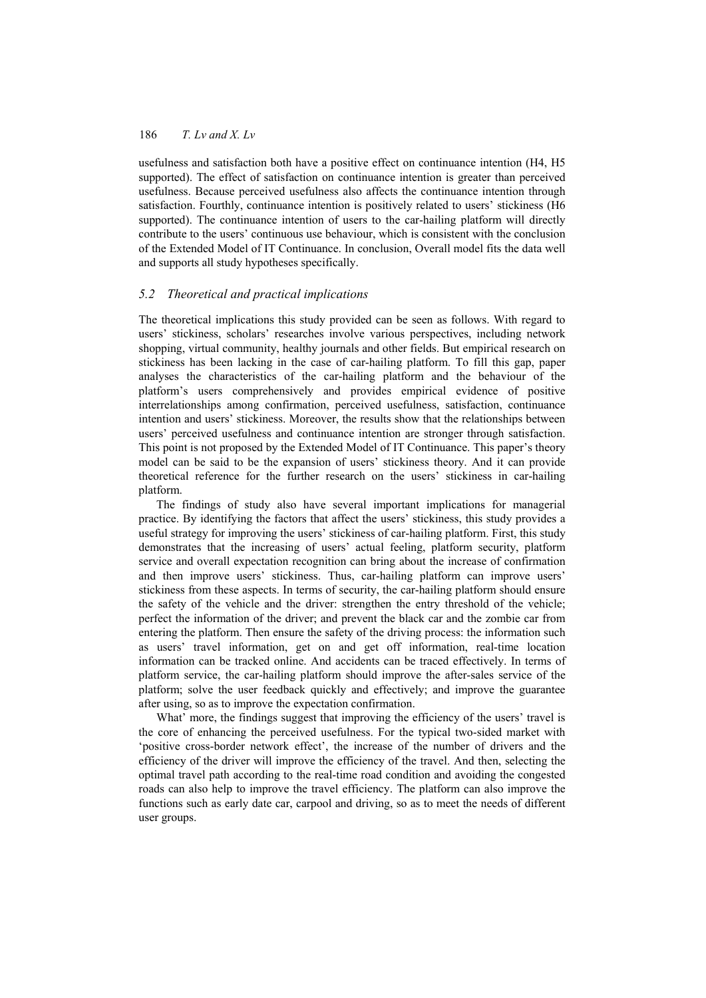usefulness and satisfaction both have a positive effect on continuance intention (H4, H5 supported). The effect of satisfaction on continuance intention is greater than perceived usefulness. Because perceived usefulness also affects the continuance intention through satisfaction. Fourthly, continuance intention is positively related to users' stickiness (H6 supported). The continuance intention of users to the car-hailing platform will directly contribute to the users' continuous use behaviour, which is consistent with the conclusion of the Extended Model of IT Continuance. In conclusion, Overall model fits the data well and supports all study hypotheses specifically.

## *5.2 Theoretical and practical implications*

The theoretical implications this study provided can be seen as follows. With regard to users' stickiness, scholars' researches involve various perspectives, including network shopping, virtual community, healthy journals and other fields. But empirical research on stickiness has been lacking in the case of car-hailing platform. To fill this gap, paper analyses the characteristics of the car-hailing platform and the behaviour of the platform's users comprehensively and provides empirical evidence of positive interrelationships among confirmation, perceived usefulness, satisfaction, continuance intention and users' stickiness. Moreover, the results show that the relationships between users' perceived usefulness and continuance intention are stronger through satisfaction. This point is not proposed by the Extended Model of IT Continuance. This paper's theory model can be said to be the expansion of users' stickiness theory. And it can provide theoretical reference for the further research on the users' stickiness in car-hailing platform.

The findings of study also have several important implications for managerial practice. By identifying the factors that affect the users' stickiness, this study provides a useful strategy for improving the users' stickiness of car-hailing platform. First, this study demonstrates that the increasing of users' actual feeling, platform security, platform service and overall expectation recognition can bring about the increase of confirmation and then improve users' stickiness. Thus, car-hailing platform can improve users' stickiness from these aspects. In terms of security, the car-hailing platform should ensure the safety of the vehicle and the driver: strengthen the entry threshold of the vehicle; perfect the information of the driver; and prevent the black car and the zombie car from entering the platform. Then ensure the safety of the driving process: the information such as users' travel information, get on and get off information, real-time location information can be tracked online. And accidents can be traced effectively. In terms of platform service, the car-hailing platform should improve the after-sales service of the platform; solve the user feedback quickly and effectively; and improve the guarantee after using, so as to improve the expectation confirmation.

What' more, the findings suggest that improving the efficiency of the users' travel is the core of enhancing the perceived usefulness. For the typical two-sided market with 'positive cross-border network effect', the increase of the number of drivers and the efficiency of the driver will improve the efficiency of the travel. And then, selecting the optimal travel path according to the real-time road condition and avoiding the congested roads can also help to improve the travel efficiency. The platform can also improve the functions such as early date car, carpool and driving, so as to meet the needs of different user groups.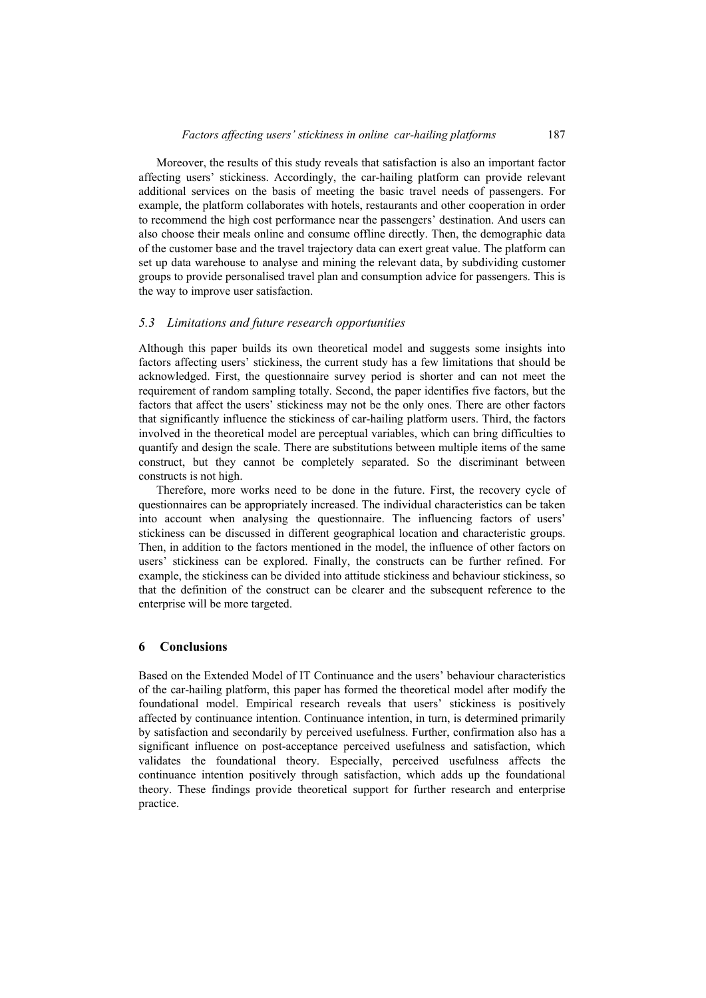Moreover, the results of this study reveals that satisfaction is also an important factor affecting users' stickiness. Accordingly, the car-hailing platform can provide relevant additional services on the basis of meeting the basic travel needs of passengers. For example, the platform collaborates with hotels, restaurants and other cooperation in order to recommend the high cost performance near the passengers' destination. And users can also choose their meals online and consume offline directly. Then, the demographic data of the customer base and the travel trajectory data can exert great value. The platform can set up data warehouse to analyse and mining the relevant data, by subdividing customer groups to provide personalised travel plan and consumption advice for passengers. This is the way to improve user satisfaction.

### *5.3 Limitations and future research opportunities*

Although this paper builds its own theoretical model and suggests some insights into factors affecting users' stickiness, the current study has a few limitations that should be acknowledged. First, the questionnaire survey period is shorter and can not meet the requirement of random sampling totally. Second, the paper identifies five factors, but the factors that affect the users' stickiness may not be the only ones. There are other factors that significantly influence the stickiness of car-hailing platform users. Third, the factors involved in the theoretical model are perceptual variables, which can bring difficulties to quantify and design the scale. There are substitutions between multiple items of the same construct, but they cannot be completely separated. So the discriminant between constructs is not high.

Therefore, more works need to be done in the future. First, the recovery cycle of questionnaires can be appropriately increased. The individual characteristics can be taken into account when analysing the questionnaire. The influencing factors of users' stickiness can be discussed in different geographical location and characteristic groups. Then, in addition to the factors mentioned in the model, the influence of other factors on users' stickiness can be explored. Finally, the constructs can be further refined. For example, the stickiness can be divided into attitude stickiness and behaviour stickiness, so that the definition of the construct can be clearer and the subsequent reference to the enterprise will be more targeted.

### **6 Conclusions**

Based on the Extended Model of IT Continuance and the users' behaviour characteristics of the car-hailing platform, this paper has formed the theoretical model after modify the foundational model. Empirical research reveals that users' stickiness is positively affected by continuance intention. Continuance intention, in turn, is determined primarily by satisfaction and secondarily by perceived usefulness. Further, confirmation also has a significant influence on post-acceptance perceived usefulness and satisfaction, which validates the foundational theory. Especially, perceived usefulness affects the continuance intention positively through satisfaction, which adds up the foundational theory. These findings provide theoretical support for further research and enterprise practice.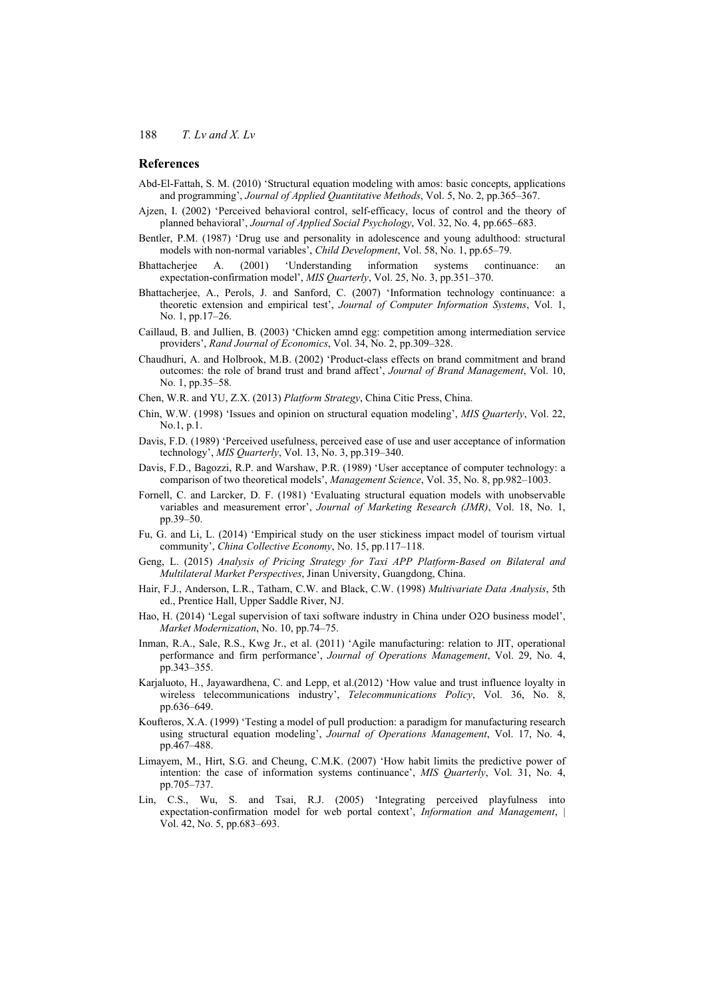## **References**

- Abd-El-Fattah, S. M. (2010) 'Structural equation modeling with amos: basic concepts, applications and programming', *Journal of Applied Quantitative Methods*, Vol. 5, No. 2, pp.365–367.
- Ajzen, I. (2002) 'Perceived behavioral control, self-efficacy, locus of control and the theory of planned behavioral', *Journal of Applied Social Psychology*, Vol. 32, No. 4, pp.665–683.
- Bentler, P.M. (1987) 'Drug use and personality in adolescence and young adulthood: structural models with non-normal variables', *Child Development*, Vol. 58, No. 1, pp.65–79.
- Bhattacherjee A. (2001) 'Understanding information systems continuance: an expectation-confirmation model', *MIS Quarterly*, Vol. 25, No. 3, pp.351–370.
- Bhattacherjee, A., Perols, J. and Sanford, C. (2007) 'Information technology continuance: a theoretic extension and empirical test', *Journal of Computer Information Systems*, Vol. 1, No. 1, pp.17–26.
- Caillaud, B. and Jullien, B. (2003) 'Chicken amnd egg: competition among intermediation service providers', *Rand Journal of Economics*, Vol. 34, No. 2, pp.309–328.
- Chaudhuri, A. and Holbrook, M.B. (2002) 'Product-class effects on brand commitment and brand outcomes: the role of brand trust and brand affect', *Journal of Brand Management*, Vol. 10, No. 1, pp.35–58.
- Chen, W.R. and YU, Z.X. (2013) *Platform Strategy*, China Citic Press, China.
- Chin, W.W. (1998) 'Issues and opinion on structural equation modeling', *MIS Quarterly*, Vol. 22, No.1, p.1.
- Davis, F.D. (1989) 'Perceived usefulness, perceived ease of use and user acceptance of information technology', *MIS Quarterly*, Vol. 13, No. 3, pp.319–340.
- Davis, F.D., Bagozzi, R.P. and Warshaw, P.R. (1989) 'User acceptance of computer technology: a comparison of two theoretical models', *Management Science*, Vol. 35, No. 8, pp.982–1003.
- Fornell, C. and Larcker, D. F. (1981) 'Evaluating structural equation models with unobservable variables and measurement error', *Journal of Marketing Research (JMR)*, Vol. 18, No. 1, pp.39–50.
- Fu, G. and Li, L. (2014) 'Empirical study on the user stickiness impact model of tourism virtual community', *China Collective Economy*, No. 15, pp.117–118.
- Geng, L. (2015) *Analysis of Pricing Strategy for Taxi APP Platform-Based on Bilateral and Multilateral Market Perspectives*, Jinan University, Guangdong, China.
- Hair, F.J., Anderson, L.R., Tatham, C.W. and Black, C.W. (1998) *Multivariate Data Analysis*, 5th ed., Prentice Hall, Upper Saddle River, NJ.
- Hao, H. (2014) 'Legal supervision of taxi software industry in China under O2O business model', *Market Modernization*, No. 10, pp.74–75.
- Inman, R.A., Sale, R.S., Kwg Jr., et al. (2011) 'Agile manufacturing: relation to JIT, operational performance and firm performance', *Journal of Operations Management*, Vol. 29, No. 4, pp.343–355.
- Karjaluoto, H., Jayawardhena, C. and Lepp, et al.(2012) 'How value and trust influence loyalty in wireless telecommunications industry', *Telecommunications Policy*, Vol. 36, No. 8, pp.636–649.
- Koufteros, X.A. (1999) 'Testing a model of pull production: a paradigm for manufacturing research using structural equation modeling', *Journal of Operations Management*, Vol. 17, No. 4, pp.467–488.
- Limayem, M., Hirt, S.G. and Cheung, C.M.K. (2007) 'How habit limits the predictive power of intention: the case of information systems continuance', *MIS Quarterly*, Vol. 31, No. 4, pp.705–737.
- Lin, C.S., Wu, S. and Tsai, R.J. (2005) 'Integrating perceived playfulness into expectation-confirmation model for web portal context', *Information and Management*, | Vol. 42, No. 5, pp.683–693.